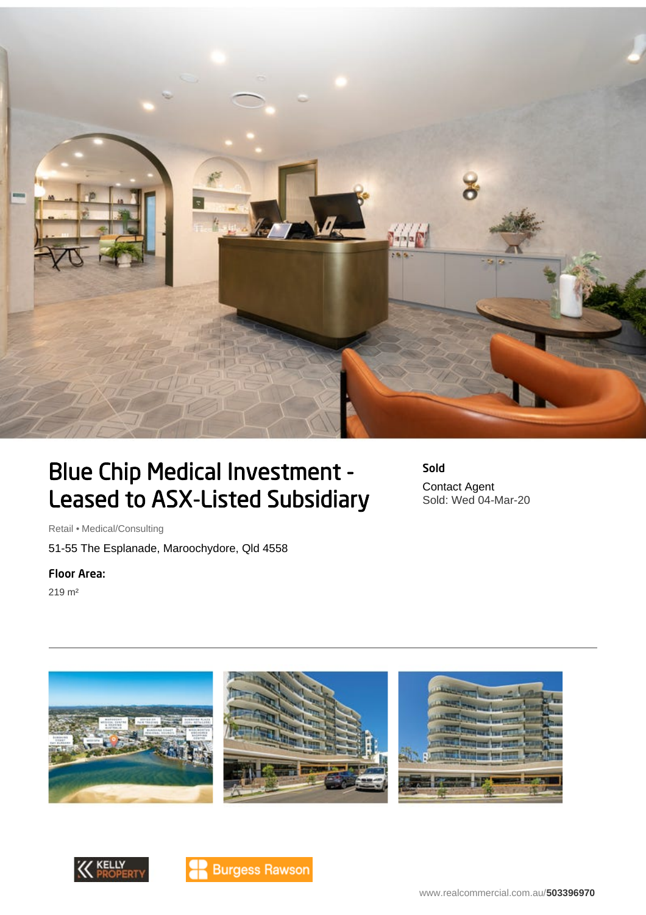

## Blue Chip Medical Investment - Leased to ASX-Listed Subsidiary

Sold Contact Agent Sold: Wed 04-Mar-20

Retail • Medical/Consulting

51-55 The Esplanade, Maroochydore, Qld 4558

## Floor Area:

219 m²